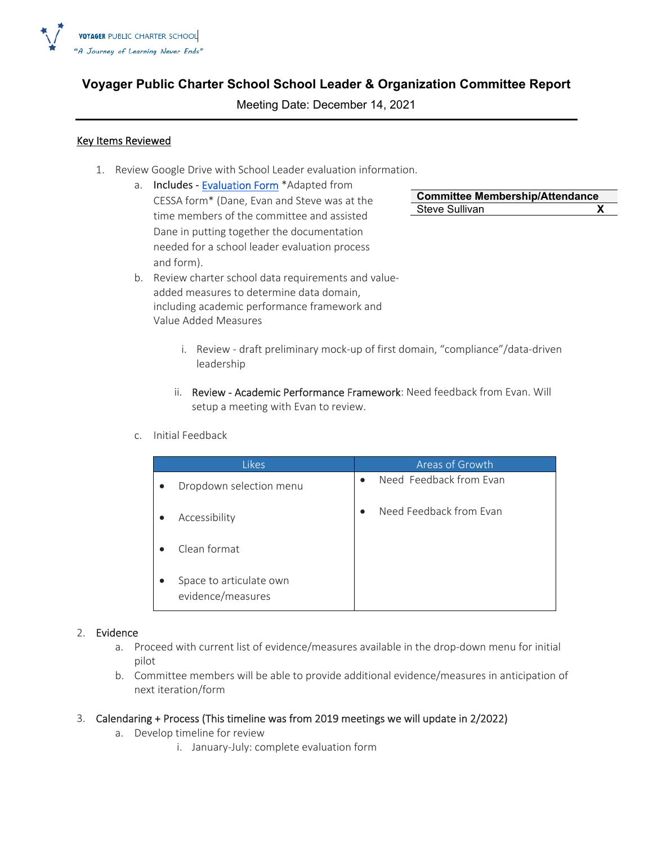

# **Voyager Public Charter School School Leader & Organization Committee Report**

Meeting Date: December 14, 2021

### Key Items Reviewed

- 1. Review Google Drive with School Leader evaluation information.
	- a. Includes Evaluation Form \* Adapted from CESSA form\* (Dane, Evan and Steve was at the time members of the committee and assisted Dane in putting together the documentation needed for a school leader evaluation process and form).
- **Committee Membership/Attendance**  Steve Sullivan **X**
- b. Review charter school data requirements and value‐ added measures to determine data domain, including academic performance framework and Value Added Measures
	- i. Review draft preliminary mock-up of first domain, "compliance"/data-driven leadership
	- ii. Review Academic Performance Framework: Need feedback from Evan. Will setup a meeting with Evan to review.
- c. Initial Feedback

| <b>Likes</b>                                 | Areas of Growth                      |
|----------------------------------------------|--------------------------------------|
| Dropdown selection menu                      | Need Feedback from Evan<br>$\bullet$ |
| Accessibility                                | Need Feedback from Evan              |
| Clean format                                 |                                      |
| Space to articulate own<br>evidence/measures |                                      |

#### 2. Evidence

- a. Proceed with current list of evidence/measures available in the drop-down menu for initial pilot
- b. Committee members will be able to provide additional evidence/measures in anticipation of next iteration/form
- 3. Calendaring + Process (This timeline was from 2019 meetings we will update in 2/2022)
	- a. Develop timeline for review
		- i. January‐July: complete evaluation form